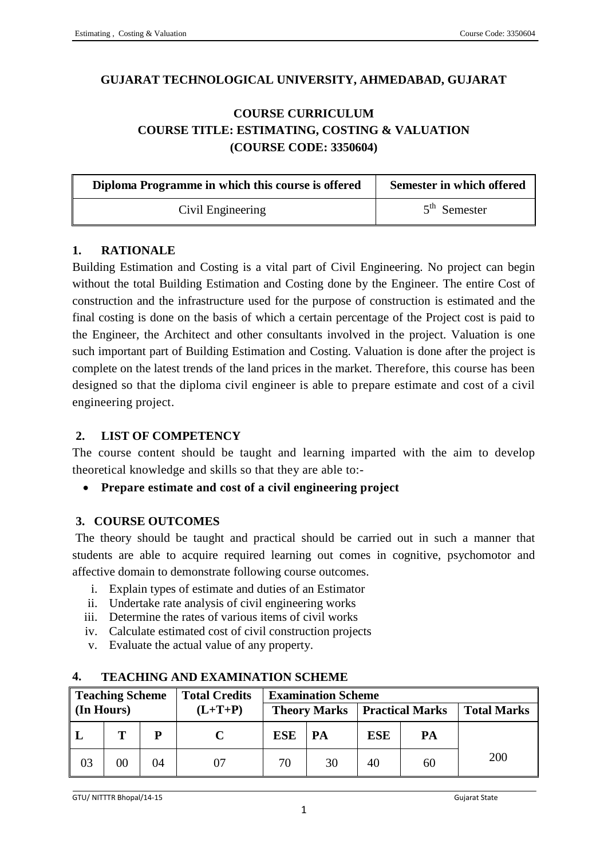## **GUJARAT TECHNOLOGICAL UNIVERSITY, AHMEDABAD, GUJARAT**

# **COURSE CURRICULUM COURSE TITLE: ESTIMATING, COSTING & VALUATION (COURSE CODE: 3350604)**

| Diploma Programme in which this course is offered | Semester in which offered |
|---------------------------------------------------|---------------------------|
| Civil Engineering                                 | $5th$ Semester            |

# **1. RATIONALE**

Building Estimation and Costing is a vital part of Civil Engineering. No project can begin without the total Building Estimation and Costing done by the Engineer. The entire Cost of construction and the infrastructure used for the purpose of construction is estimated and the final costing is done on the basis of which a certain percentage of the Project cost is paid to the Engineer, the Architect and other consultants involved in the project. Valuation is one such important part of Building Estimation and Costing. Valuation is done after the project is complete on the latest trends of the land prices in the market. Therefore, this course has been designed so that the diploma civil engineer is able to prepare estimate and cost of a civil engineering project.

## **2. LIST OF COMPETENCY**

The course content should be taught and learning imparted with the aim to develop theoretical knowledge and skills so that they are able to:-

**Prepare estimate and cost of a civil engineering project**

# **3. COURSE OUTCOMES**

The theory should be taught and practical should be carried out in such a manner that students are able to acquire required learning out comes in cognitive, psychomotor and affective domain to demonstrate following course outcomes.

- i. Explain types of estimate and duties of an Estimator
- ii. Undertake rate analysis of civil engineering works
- iii. Determine the rates of various items of civil works
- iv. Calculate estimated cost of civil construction projects
- v. Evaluate the actual value of any property.

| Teaching Scheme<br><b>Total Credits</b> |        | <b>Examination Scheme</b> |           |                     |    |     |    |                        |  |                    |
|-----------------------------------------|--------|---------------------------|-----------|---------------------|----|-----|----|------------------------|--|--------------------|
| $\ln$ Hours)                            |        |                           | $(L+T+P)$ | <b>Theory Marks</b> |    |     |    | <b>Practical Marks</b> |  | <b>Total Marks</b> |
| $^{\mathsf{L}}$                         | т      | P                         |           | <b>ESE</b>          | PA | ESE | PA |                        |  |                    |
| 03                                      | $00\,$ | 04                        |           | 70                  | 30 | 40  | 60 | 200                    |  |                    |

## **4. TEACHING AND EXAMINATION SCHEME**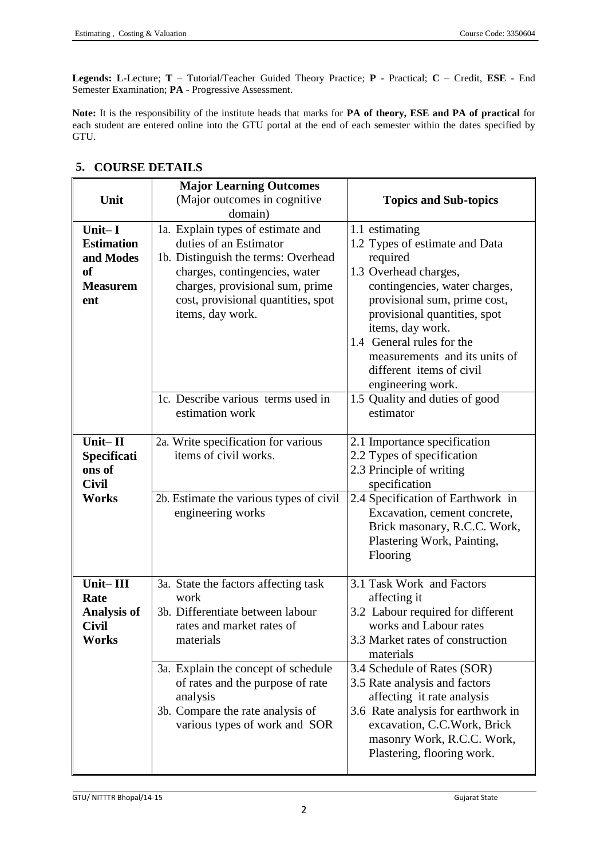**Legends: L**-Lecture; **T** – Tutorial/Teacher Guided Theory Practice; **P** - Practical; **C** – Credit, **ESE** - End Semester Examination; **PA** - Progressive Assessment.

**Note:** It is the responsibility of the institute heads that marks for **PA of theory, ESE and PA of practical** for each student are entered online into the GTU portal at the end of each semester within the dates specified by GTU.

|                                                                                        | <b>Major Learning Outcomes</b>                                                                                                                                                                                                   |                                                                                                                                                                                                                                                                                                                           |
|----------------------------------------------------------------------------------------|----------------------------------------------------------------------------------------------------------------------------------------------------------------------------------------------------------------------------------|---------------------------------------------------------------------------------------------------------------------------------------------------------------------------------------------------------------------------------------------------------------------------------------------------------------------------|
| Unit                                                                                   | (Major outcomes in cognitive                                                                                                                                                                                                     | <b>Topics and Sub-topics</b>                                                                                                                                                                                                                                                                                              |
|                                                                                        | domain)                                                                                                                                                                                                                          |                                                                                                                                                                                                                                                                                                                           |
| Unit $-I$<br><b>Estimation</b><br>and Modes<br><sub>of</sub><br><b>Measurem</b><br>ent | 1a. Explain types of estimate and<br>duties of an Estimator<br>1b. Distinguish the terms: Overhead<br>charges, contingencies, water<br>charges, provisional sum, prime<br>cost, provisional quantities, spot<br>items, day work. | 1.1 estimating<br>1.2 Types of estimate and Data<br>required<br>1.3 Overhead charges,<br>contingencies, water charges,<br>provisional sum, prime cost,<br>provisional quantities, spot<br>items, day work.<br>1.4 General rules for the<br>measurements and its units of<br>different items of civil<br>engineering work. |
|                                                                                        | 1c. Describe various terms used in<br>estimation work                                                                                                                                                                            | 1.5 Quality and duties of good<br>estimator                                                                                                                                                                                                                                                                               |
| Unit-II<br>Specificati<br>ons of<br><b>Civil</b>                                       | 2a. Write specification for various<br>items of civil works.                                                                                                                                                                     | 2.1 Importance specification<br>2.2 Types of specification<br>2.3 Principle of writing<br>specification                                                                                                                                                                                                                   |
| <b>Works</b>                                                                           | 2b. Estimate the various types of civil<br>engineering works                                                                                                                                                                     | 2.4 Specification of Earthwork in<br>Excavation, cement concrete,<br>Brick masonary, R.C.C. Work,<br>Plastering Work, Painting,<br>Flooring                                                                                                                                                                               |
| Unit-III<br>Rate<br><b>Analysis of</b><br><b>Civil</b><br><b>Works</b>                 | 3a. State the factors affecting task<br>work<br>3b. Differentiate between labour<br>rates and market rates of<br>materials                                                                                                       | 3.1 Task Work and Factors<br>affecting it<br>3.2 Labour required for different<br>works and Labour rates<br>3.3 Market rates of construction<br>materials                                                                                                                                                                 |
|                                                                                        | 3a. Explain the concept of schedule<br>of rates and the purpose of rate<br>analysis<br>3b. Compare the rate analysis of<br>various types of work and SOR                                                                         | 3.4 Schedule of Rates (SOR)<br>3.5 Rate analysis and factors<br>affecting it rate analysis<br>3.6 Rate analysis for earthwork in<br>excavation, C.C.Work, Brick<br>masonry Work, R.C.C. Work,<br>Plastering, flooring work.                                                                                               |

#### **5. COURSE DETAILS**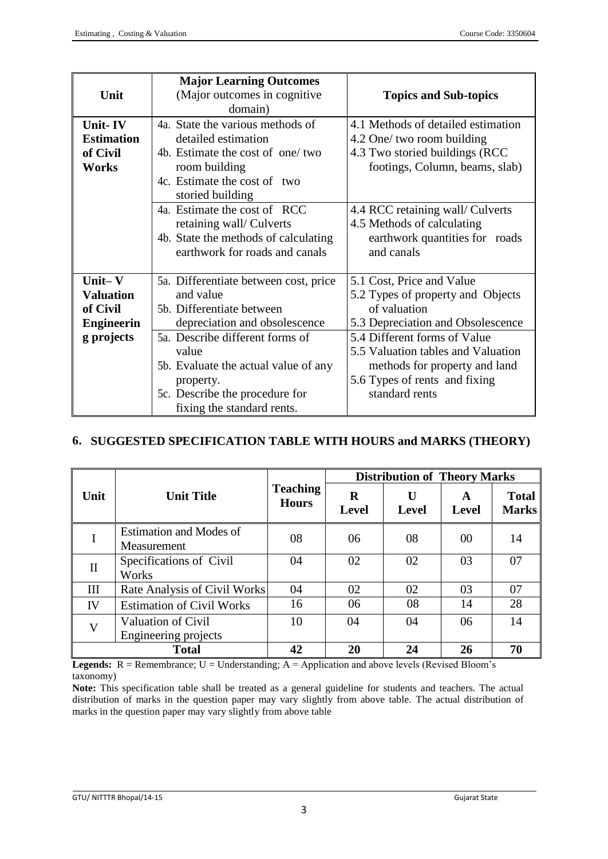| <b>Major Learning Outcomes</b><br>(Major outcomes in cognitive)<br>Unit<br>domain) |                                                                                                                                                                                                                                                                      | <b>Topics and Sub-topics</b>                                                                                                                                                                                                             |  |
|------------------------------------------------------------------------------------|----------------------------------------------------------------------------------------------------------------------------------------------------------------------------------------------------------------------------------------------------------------------|------------------------------------------------------------------------------------------------------------------------------------------------------------------------------------------------------------------------------------------|--|
| Unit-IV<br><b>Estimation</b><br>of Civil<br>Works                                  | 4a. State the various methods of<br>detailed estimation<br>4b. Estimate the cost of one/two<br>room building<br>4c. Estimate the cost of two<br>storied building<br>4a. Estimate the cost of RCC<br>retaining wall/ Culverts<br>4b. State the methods of calculating | 4.1 Methods of detailed estimation<br>4.2 One/ two room building<br>4.3 Two storied buildings (RCC<br>footings, Column, beams, slab)<br>4.4 RCC retaining wall/ Culverts<br>4.5 Methods of calculating<br>earthwork quantities for roads |  |
|                                                                                    | earthwork for roads and canals                                                                                                                                                                                                                                       | and canals                                                                                                                                                                                                                               |  |
| Unit $-V$<br><b>Valuation</b><br>of Civil<br><b>Engineerin</b>                     | 5a. Differentiate between cost, price<br>and value<br>5b. Differentiate between<br>depreciation and obsolescence                                                                                                                                                     | 5.1 Cost, Price and Value<br>5.2 Types of property and Objects<br>of valuation<br>5.3 Depreciation and Obsolescence                                                                                                                      |  |
| g projects                                                                         | 5a. Describe different forms of<br>value<br>5b. Evaluate the actual value of any<br>property.<br>5c. Describe the procedure for<br>fixing the standard rents.                                                                                                        | 5.4 Different forms of Value<br>5.5 Valuation tables and Valuation<br>methods for property and land<br>5.6 Types of rents and fixing<br>standard rents                                                                                   |  |

## **6. SUGGESTED SPECIFICATION TABLE WITH HOURS and MARKS (THEORY)**

|              | <b>Unit Title</b>                                 | <b>Teaching</b><br><b>Hours</b> | <b>Distribution of Theory Marks</b> |                   |                   |                              |
|--------------|---------------------------------------------------|---------------------------------|-------------------------------------|-------------------|-------------------|------------------------------|
| Unit         |                                                   |                                 | $\bf{R}$<br><b>Level</b>            | U<br><b>Level</b> | A<br><b>Level</b> | <b>Total</b><br><b>Marks</b> |
|              | Estimation and Modes of<br>Measurement            | 08                              | 06                                  | 08                | 00                | 14                           |
| $\mathbf{I}$ | Specifications of Civil<br>Works                  | 04                              | 02                                  | 02                | 03                | 07                           |
| Ш            | Rate Analysis of Civil Works                      | 04                              | 02                                  | 02                | 03                | 07                           |
| IV           | <b>Estimation of Civil Works</b>                  | 16                              | 06                                  | 08                | 14                | 28                           |
| $\mathbf{V}$ | <b>Valuation of Civil</b><br>Engineering projects | 10                              | 04                                  | 04                | 06                | 14                           |
|              | <b>Total</b>                                      | 42                              | 20                                  | 24                | 26                | 70                           |

**Legends:**  $R =$  Remembrance;  $U =$  Understanding;  $A =$  Application and above levels (Revised Bloom's taxonomy)

**Note:** This specification table shall be treated as a general guideline for students and teachers. The actual distribution of marks in the question paper may vary slightly from above table. The actual distribution of marks in the question paper may vary slightly from above table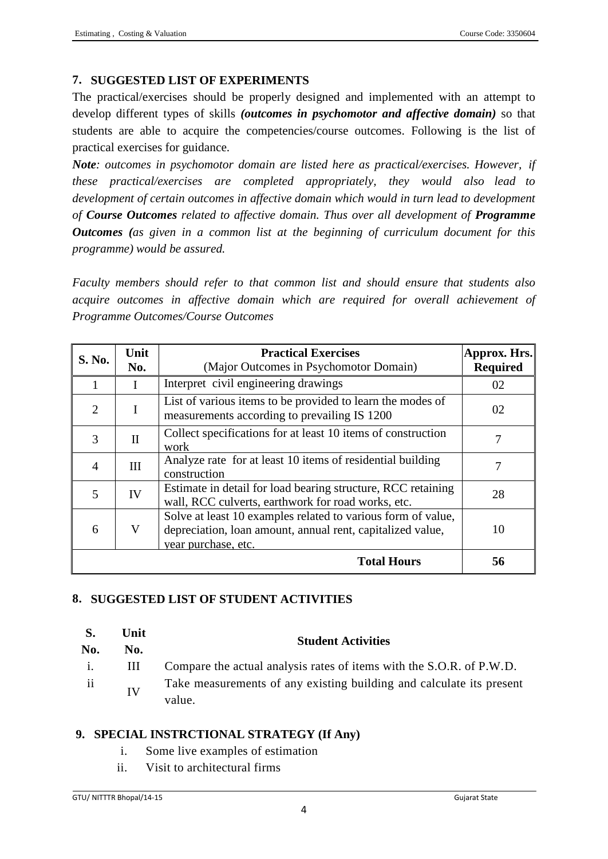## **7. SUGGESTED LIST OF EXPERIMENTS**

The practical/exercises should be properly designed and implemented with an attempt to develop different types of skills *(outcomes in psychomotor and affective domain)* so that students are able to acquire the competencies/course outcomes. Following is the list of practical exercises for guidance.

*Note: outcomes in psychomotor domain are listed here as practical/exercises. However, if these practical/exercises are completed appropriately, they would also lead to development of certain outcomes in affective domain which would in turn lead to development of Course Outcomes related to affective domain. Thus over all development of Programme Outcomes (as given in a common list at the beginning of curriculum document for this programme) would be assured.*

*Faculty members should refer to that common list and should ensure that students also acquire outcomes in affective domain which are required for overall achievement of Programme Outcomes/Course Outcomes*

| S. No.         | Unit<br><b>Practical Exercises</b><br>No.<br>(Major Outcomes in Psychomotor Domain) |                                                                                                                                                   | Approx. Hrs.<br><b>Required</b> |
|----------------|-------------------------------------------------------------------------------------|---------------------------------------------------------------------------------------------------------------------------------------------------|---------------------------------|
|                |                                                                                     | Interpret civil engineering drawings                                                                                                              | 02                              |
| 2              | I                                                                                   | List of various items to be provided to learn the modes of<br>measurements according to prevailing IS 1200                                        | 02                              |
| 3              | $\mathbf{I}$                                                                        | Collect specifications for at least 10 items of construction<br>work                                                                              | 7                               |
| $\overline{A}$ | III                                                                                 | Analyze rate for at least 10 items of residential building<br>construction                                                                        | 7                               |
| 5              | IV                                                                                  | Estimate in detail for load bearing structure, RCC retaining<br>wall, RCC culverts, earthwork for road works, etc.                                | 28                              |
| 6              | V                                                                                   | Solve at least 10 examples related to various form of value,<br>depreciation, loan amount, annual rent, capitalized value,<br>year purchase, etc. | 10                              |
|                |                                                                                     | <b>Total Hours</b>                                                                                                                                | 56                              |

## **8. SUGGESTED LIST OF STUDENT ACTIVITIES**

#### **S. Unit**

| <b>A</b><br>No. | vm<br>No. | <b>Student Activities</b>                                                      |
|-----------------|-----------|--------------------------------------------------------------------------------|
|                 | Ш         | Compare the actual analysis rates of items with the S.O.R. of P.W.D.           |
| ii              | IV        | Take measurements of any existing building and calculate its present<br>value. |

## **9. SPECIAL INSTRCTIONAL STRATEGY (If Any)**

- i. Some live examples of estimation
- ii. Visit to architectural firms